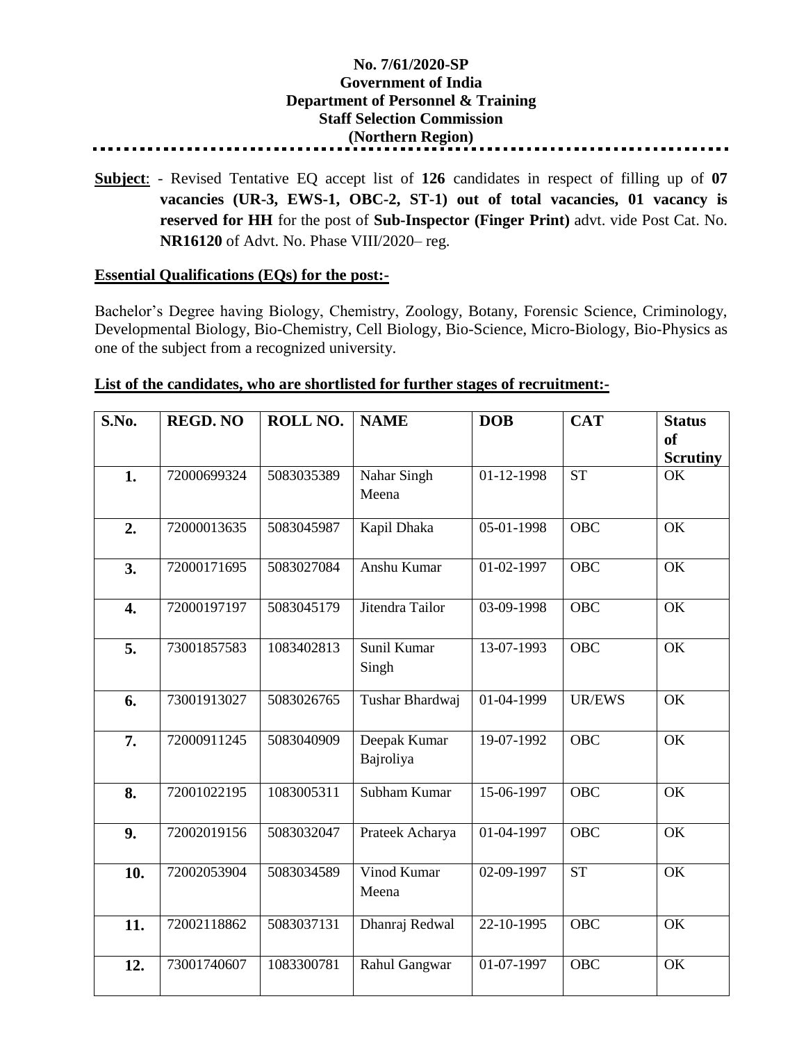## **No. 7/61/2020-SP Government of India Department of Personnel & Training Staff Selection Commission (Northern Region)**

**Subject**: - Revised Tentative EQ accept list of **126** candidates in respect of filling up of **07 vacancies (UR-3, EWS-1, OBC-2, ST-1) out of total vacancies, 01 vacancy is reserved for HH** for the post of **Sub-Inspector (Finger Print)** advt. vide Post Cat. No. **NR16120** of Advt. No. Phase VIII/2020– reg.

## **Essential Qualifications (EQs) for the post:-**

Bachelor's Degree having Biology, Chemistry, Zoology, Botany, Forensic Science, Criminology, Developmental Biology, Bio-Chemistry, Cell Biology, Bio-Science, Micro-Biology, Bio-Physics as one of the subject from a recognized university.

| S.No.            | <b>REGD. NO</b> | ROLL NO.   | <b>NAME</b>               | <b>DOB</b> | <b>CAT</b>             | <b>Status</b>                    |
|------------------|-----------------|------------|---------------------------|------------|------------------------|----------------------------------|
|                  |                 |            |                           |            |                        | <sub>of</sub><br><b>Scrutiny</b> |
| 1.               | 72000699324     | 5083035389 | Nahar Singh<br>Meena      | 01-12-1998 | $\overline{\text{ST}}$ | OK                               |
| 2.               | 72000013635     | 5083045987 | Kapil Dhaka               | 05-01-1998 | <b>OBC</b>             | OK                               |
| 3.               | 72000171695     | 5083027084 | Anshu Kumar               | 01-02-1997 | <b>OBC</b>             | OK                               |
| $\overline{4}$ . | 72000197197     | 5083045179 | Jitendra Tailor           | 03-09-1998 | <b>OBC</b>             | OK                               |
| 5.               | 73001857583     | 1083402813 | Sunil Kumar<br>Singh      | 13-07-1993 | <b>OBC</b>             | OK                               |
| 6.               | 73001913027     | 5083026765 | Tushar Bhardwaj           | 01-04-1999 | <b>UR/EWS</b>          | OK                               |
| 7.               | 72000911245     | 5083040909 | Deepak Kumar<br>Bajroliya | 19-07-1992 | <b>OBC</b>             | OK                               |
| 8.               | 72001022195     | 1083005311 | Subham Kumar              | 15-06-1997 | <b>OBC</b>             | OK                               |
| 9.               | 72002019156     | 5083032047 | Prateek Acharya           | 01-04-1997 | <b>OBC</b>             | OK                               |
| 10.              | 72002053904     | 5083034589 | Vinod Kumar<br>Meena      | 02-09-1997 | <b>ST</b>              | OK                               |
| 11.              | 72002118862     | 5083037131 | Dhanraj Redwal            | 22-10-1995 | <b>OBC</b>             | OK                               |
| 12.              | 73001740607     | 1083300781 | Rahul Gangwar             | 01-07-1997 | <b>OBC</b>             | OK                               |

## **List of the candidates, who are shortlisted for further stages of recruitment:-**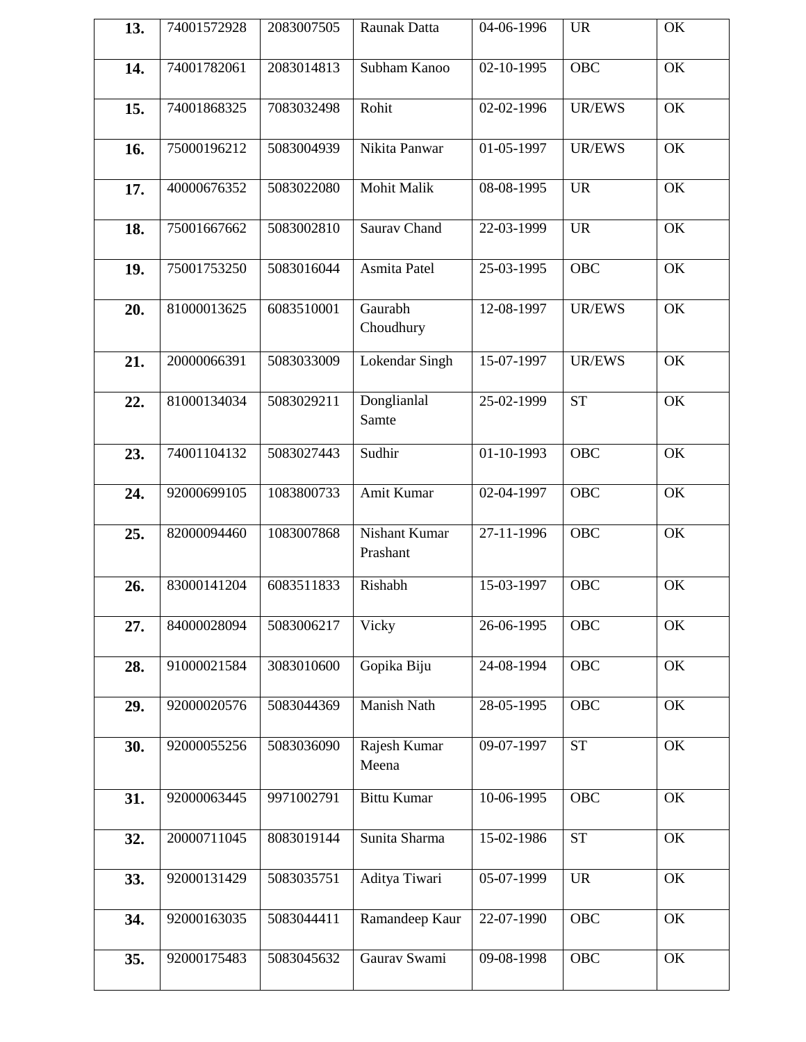| 13. | 74001572928 | 2083007505 | Raunak Datta              | 04-06-1996               | <b>UR</b>     | OK |
|-----|-------------|------------|---------------------------|--------------------------|---------------|----|
| 14. | 74001782061 | 2083014813 | Subham Kanoo              | 02-10-1995               | <b>OBC</b>    | OK |
| 15. | 74001868325 | 7083032498 | Rohit                     | 02-02-1996               | <b>UR/EWS</b> | OK |
| 16. | 75000196212 | 5083004939 | Nikita Panwar             | 01-05-1997               | <b>UR/EWS</b> | OK |
| 17. | 40000676352 | 5083022080 | Mohit Malik               | 08-08-1995               | <b>UR</b>     | OK |
| 18. | 75001667662 | 5083002810 | Saurav Chand              | 22-03-1999               | <b>UR</b>     | OK |
| 19. | 75001753250 | 5083016044 | Asmita Patel              | 25-03-1995               | <b>OBC</b>    | OK |
| 20. | 81000013625 | 6083510001 | Gaurabh<br>Choudhury      | 12-08-1997               | <b>UR/EWS</b> | OK |
| 21. | 20000066391 | 5083033009 | Lokendar Singh            | 15-07-1997               | <b>UR/EWS</b> | OK |
| 22. | 81000134034 | 5083029211 | Donglianlal<br>Samte      | 25-02-1999               | <b>ST</b>     | OK |
| 23. | 74001104132 | 5083027443 | Sudhir                    | 01-10-1993               | OBC           | OK |
| 24. | 92000699105 | 1083800733 | Amit Kumar                | $\overline{02}$ -04-1997 | <b>OBC</b>    | OK |
| 25. | 82000094460 | 1083007868 | Nishant Kumar<br>Prashant | 27-11-1996               | <b>OBC</b>    | OK |
| 26. | 83000141204 | 6083511833 | Rishabh                   | 15-03-1997               | OBC           | OK |
| 27. | 84000028094 | 5083006217 | Vicky                     | 26-06-1995               | OBC           | OK |
| 28. | 91000021584 | 3083010600 | Gopika Biju               | 24-08-1994               | <b>OBC</b>    | OK |
| 29. | 92000020576 | 5083044369 | Manish Nath               | 28-05-1995               | <b>OBC</b>    | OK |
| 30. | 92000055256 | 5083036090 | Rajesh Kumar<br>Meena     | 09-07-1997               | <b>ST</b>     | OK |
| 31. | 92000063445 | 9971002791 | <b>Bittu Kumar</b>        | 10-06-1995               | <b>OBC</b>    | OK |
| 32. | 20000711045 | 8083019144 | Sunita Sharma             | 15-02-1986               | <b>ST</b>     | OK |
| 33. | 92000131429 | 5083035751 | Aditya Tiwari             | 05-07-1999               | <b>UR</b>     | OK |
| 34. | 92000163035 | 5083044411 | Ramandeep Kaur            | 22-07-1990               | <b>OBC</b>    | OK |
| 35. | 92000175483 | 5083045632 | Gaurav Swami              | 09-08-1998               | <b>OBC</b>    | OK |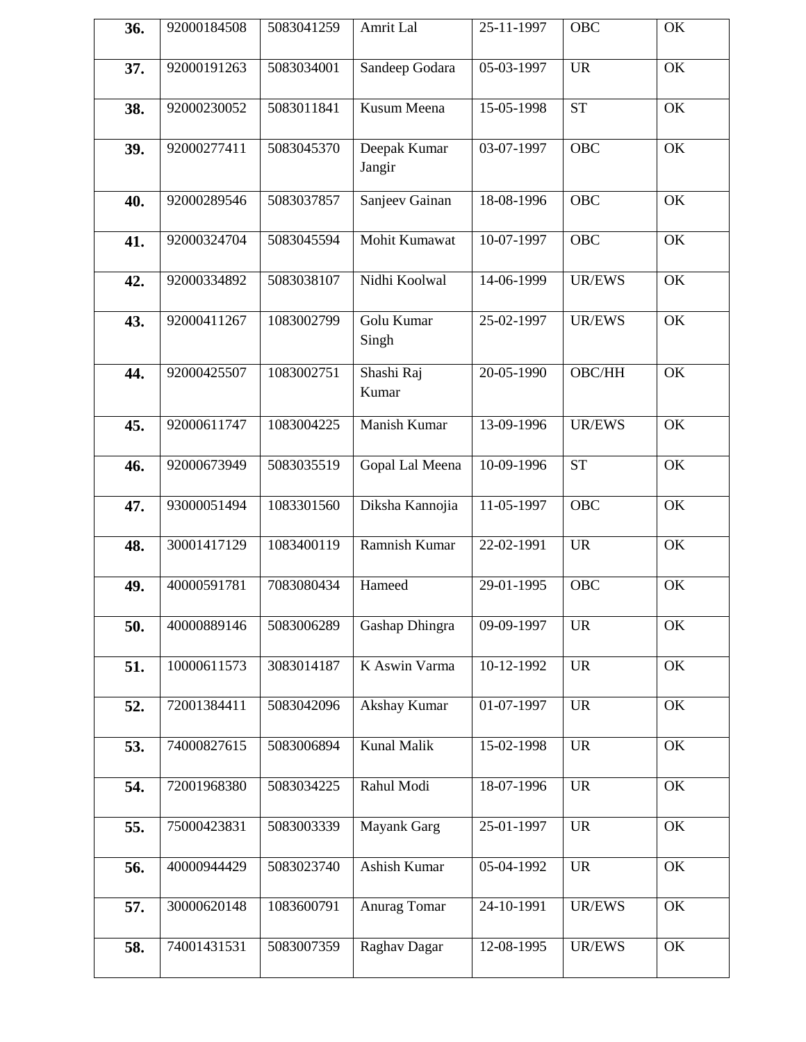| 36. | 92000184508 | 5083041259 | Amrit Lal              | 25-11-1997 | OBC           | OK |
|-----|-------------|------------|------------------------|------------|---------------|----|
| 37. | 92000191263 | 5083034001 | Sandeep Godara         | 05-03-1997 | <b>UR</b>     | OK |
| 38. | 92000230052 | 5083011841 | Kusum Meena            | 15-05-1998 | <b>ST</b>     | OK |
| 39. | 92000277411 | 5083045370 | Deepak Kumar<br>Jangir | 03-07-1997 | <b>OBC</b>    | OK |
| 40. | 92000289546 | 5083037857 | Sanjeev Gainan         | 18-08-1996 | <b>OBC</b>    | OK |
| 41. | 92000324704 | 5083045594 | Mohit Kumawat          | 10-07-1997 | <b>OBC</b>    | OK |
| 42. | 92000334892 | 5083038107 | Nidhi Koolwal          | 14-06-1999 | <b>UR/EWS</b> | OK |
| 43. | 92000411267 | 1083002799 | Golu Kumar<br>Singh    | 25-02-1997 | <b>UR/EWS</b> | OK |
| 44. | 92000425507 | 1083002751 | Shashi Raj<br>Kumar    | 20-05-1990 | <b>OBC/HH</b> | OK |
| 45. | 92000611747 | 1083004225 | Manish Kumar           | 13-09-1996 | UR/EWS        | OK |
| 46. | 92000673949 | 5083035519 | Gopal Lal Meena        | 10-09-1996 | <b>ST</b>     | OK |
| 47. | 93000051494 | 1083301560 | Diksha Kannojia        | 11-05-1997 | <b>OBC</b>    | OK |
| 48. | 30001417129 | 1083400119 | Ramnish Kumar          | 22-02-1991 | <b>UR</b>     | OK |
| 49. | 40000591781 | 7083080434 | Hameed                 | 29-01-1995 | <b>OBC</b>    | OK |
| 50. | 40000889146 | 5083006289 | Gashap Dhingra         | 09-09-1997 | <b>UR</b>     | OK |
| 51. | 10000611573 | 3083014187 | K Aswin Varma          | 10-12-1992 | <b>UR</b>     | OK |
| 52. | 72001384411 | 5083042096 | Akshay Kumar           | 01-07-1997 | <b>UR</b>     | OK |
| 53. | 74000827615 | 5083006894 | <b>Kunal Malik</b>     | 15-02-1998 | <b>UR</b>     | OK |
| 54. | 72001968380 | 5083034225 | Rahul Modi             | 18-07-1996 | <b>UR</b>     | OK |
| 55. | 75000423831 | 5083003339 | <b>Mayank Garg</b>     | 25-01-1997 | <b>UR</b>     | OK |
| 56. | 40000944429 | 5083023740 | Ashish Kumar           | 05-04-1992 | <b>UR</b>     | OK |
| 57. | 30000620148 | 1083600791 | Anurag Tomar           | 24-10-1991 | UR/EWS        | OK |
| 58. | 74001431531 | 5083007359 | Raghav Dagar           | 12-08-1995 | UR/EWS        | OK |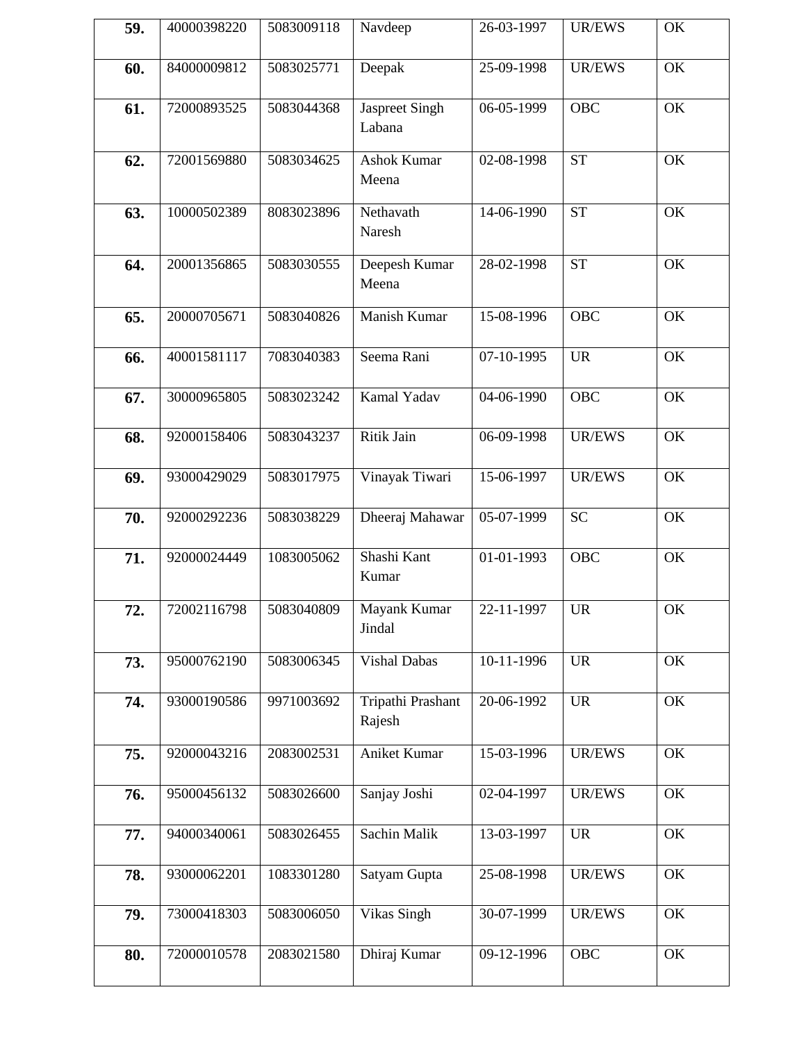| 40000398220 | 5083009118 | Navdeep                     | 26-03-1997               | <b>UR/EWS</b> | OK |
|-------------|------------|-----------------------------|--------------------------|---------------|----|
| 84000009812 | 5083025771 | Deepak                      | 25-09-1998               | <b>UR/EWS</b> | OK |
| 72000893525 | 5083044368 | Jaspreet Singh<br>Labana    | 06-05-1999               | <b>OBC</b>    | OK |
| 72001569880 | 5083034625 | <b>Ashok Kumar</b><br>Meena | 02-08-1998               | <b>ST</b>     | OK |
| 10000502389 | 8083023896 | Nethavath<br>Naresh         | 14-06-1990               | <b>ST</b>     | OK |
| 20001356865 | 5083030555 | Deepesh Kumar<br>Meena      | 28-02-1998               | <b>ST</b>     | OK |
| 20000705671 | 5083040826 | Manish Kumar                | 15-08-1996               | <b>OBC</b>    | OK |
| 40001581117 | 7083040383 | Seema Rani                  | 07-10-1995               | <b>UR</b>     | OK |
| 30000965805 | 5083023242 | Kamal Yadav                 | 04-06-1990               | <b>OBC</b>    | OK |
| 92000158406 | 5083043237 | Ritik Jain                  | 06-09-1998               | <b>UR/EWS</b> | OK |
| 93000429029 | 5083017975 | Vinayak Tiwari              | 15-06-1997               | <b>UR/EWS</b> | OK |
| 92000292236 | 5083038229 | Dheeraj Mahawar             | 05-07-1999               | <b>SC</b>     | OK |
| 92000024449 | 1083005062 | Shashi Kant<br>Kumar        | $\overline{01-01}$ -1993 | <b>OBC</b>    | OK |
| 72002116798 | 5083040809 | Mayank Kumar<br>Jindal      | 22-11-1997               | <b>UR</b>     | OK |
| 95000762190 | 5083006345 | Vishal Dabas                | 10-11-1996               | <b>UR</b>     | OK |
| 93000190586 | 9971003692 | Tripathi Prashant<br>Rajesh | 20-06-1992               | <b>UR</b>     | OK |
| 92000043216 | 2083002531 | Aniket Kumar                | 15-03-1996               | UR/EWS        | OK |
| 95000456132 | 5083026600 | Sanjay Joshi                | 02-04-1997               | UR/EWS        | OK |
| 94000340061 | 5083026455 | Sachin Malik                | 13-03-1997               | <b>UR</b>     | OK |
| 93000062201 | 1083301280 | Satyam Gupta                | 25-08-1998               | <b>UR/EWS</b> | OK |
| 73000418303 | 5083006050 | Vikas Singh                 | 30-07-1999               | UR/EWS        | OK |
| 72000010578 | 2083021580 | Dhiraj Kumar                | 09-12-1996               | OBC           | OK |
|             |            |                             |                          |               |    |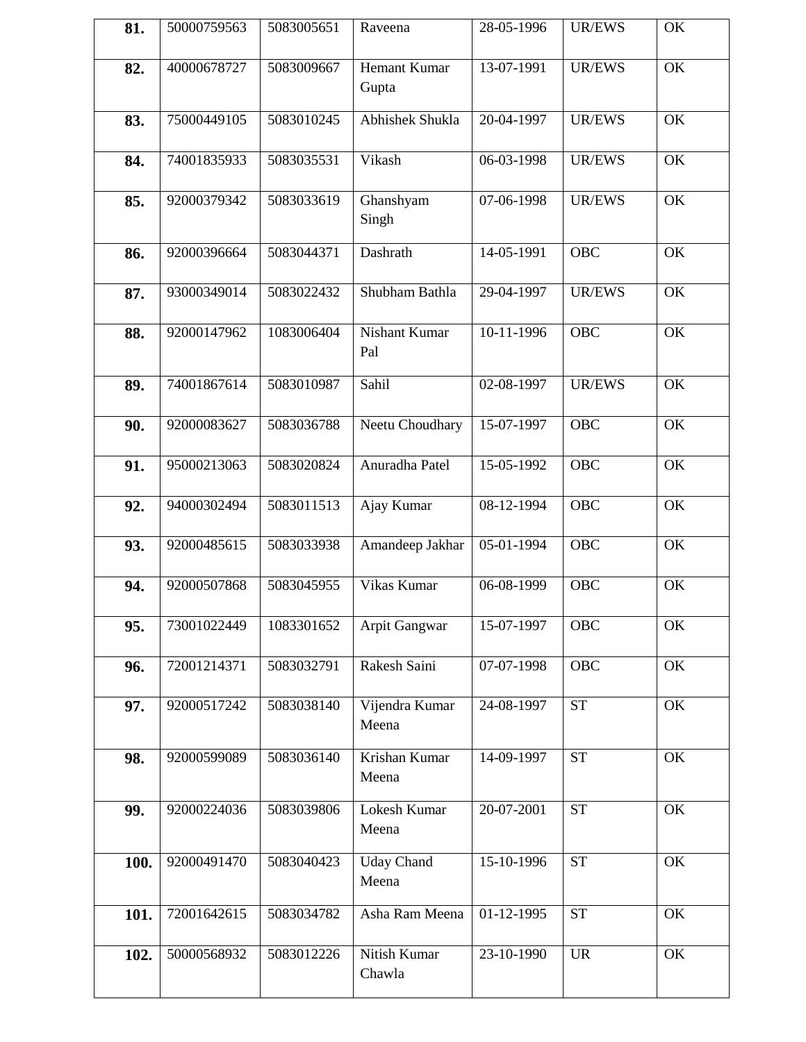| 81.  | 50000759563 | 5083005651 | Raveena                      | 28-05-1996                  | <b>UR/EWS</b>                     | OK |
|------|-------------|------------|------------------------------|-----------------------------|-----------------------------------|----|
| 82.  | 40000678727 | 5083009667 | <b>Hemant Kumar</b><br>Gupta | 13-07-1991                  | <b>UR/EWS</b>                     | OK |
| 83.  | 75000449105 | 5083010245 | Abhishek Shukla              | 20-04-1997                  | <b>UR/EWS</b>                     | OK |
| 84.  | 74001835933 | 5083035531 | Vikash                       | 06-03-1998                  | <b>UR/EWS</b>                     | OK |
| 85.  | 92000379342 | 5083033619 | Ghanshyam<br>Singh           | 07-06-1998                  | <b>UR/EWS</b>                     | OK |
| 86.  | 92000396664 | 5083044371 | Dashrath                     | 14-05-1991                  | <b>OBC</b>                        | OK |
| 87.  | 93000349014 | 5083022432 | Shubham Bathla               | 29-04-1997                  | <b>UR/EWS</b>                     | OK |
| 88.  | 92000147962 | 1083006404 | <b>Nishant Kumar</b><br>Pal  | 10-11-1996                  | <b>OBC</b>                        | OK |
| 89.  | 74001867614 | 5083010987 | Sahil                        | 02-08-1997                  | <b>UR/EWS</b>                     | OK |
| 90.  | 92000083627 | 5083036788 | Neetu Choudhary              | 15-07-1997                  | <b>OBC</b>                        | OK |
| 91.  | 95000213063 | 5083020824 | Anuradha Patel               | $\overline{15} - 05 - 1992$ | <b>OBC</b>                        | OK |
| 92.  | 94000302494 | 5083011513 | Ajay Kumar                   | 08-12-1994                  | <b>OBC</b>                        | OK |
| 93.  | 92000485615 | 5083033938 | Amandeep Jakhar              | 05-01-1994                  | <b>OBC</b>                        | OK |
| 94.  | 92000507868 | 5083045955 | Vikas Kumar                  | 06-08-1999                  | <b>OBC</b>                        | OK |
| 95.  | 73001022449 | 1083301652 | Arpit Gangwar                | 15-07-1997                  | <b>OBC</b>                        | OK |
| 96.  | 72001214371 | 5083032791 | Rakesh Saini                 | 07-07-1998                  | <b>OBC</b>                        | OK |
| 97.  | 92000517242 | 5083038140 | Vijendra Kumar<br>Meena      | 24-08-1997                  | <b>ST</b>                         | OK |
| 98.  | 92000599089 | 5083036140 | Krishan Kumar<br>Meena       | 14-09-1997                  | <b>ST</b>                         | OK |
| 99.  | 92000224036 | 5083039806 | Lokesh Kumar<br>Meena        | 20-07-2001                  | <b>ST</b>                         | OK |
| 100. | 92000491470 | 5083040423 | <b>Uday Chand</b><br>Meena   | 15-10-1996                  | <b>ST</b>                         | OK |
| 101. | 72001642615 | 5083034782 | Asha Ram Meena               | 01-12-1995                  | <b>ST</b>                         | OK |
| 102. | 50000568932 | 5083012226 | Nitish Kumar<br>Chawla       | 23-10-1990                  | $\ensuremath{\mathsf{UR}}\xspace$ | OK |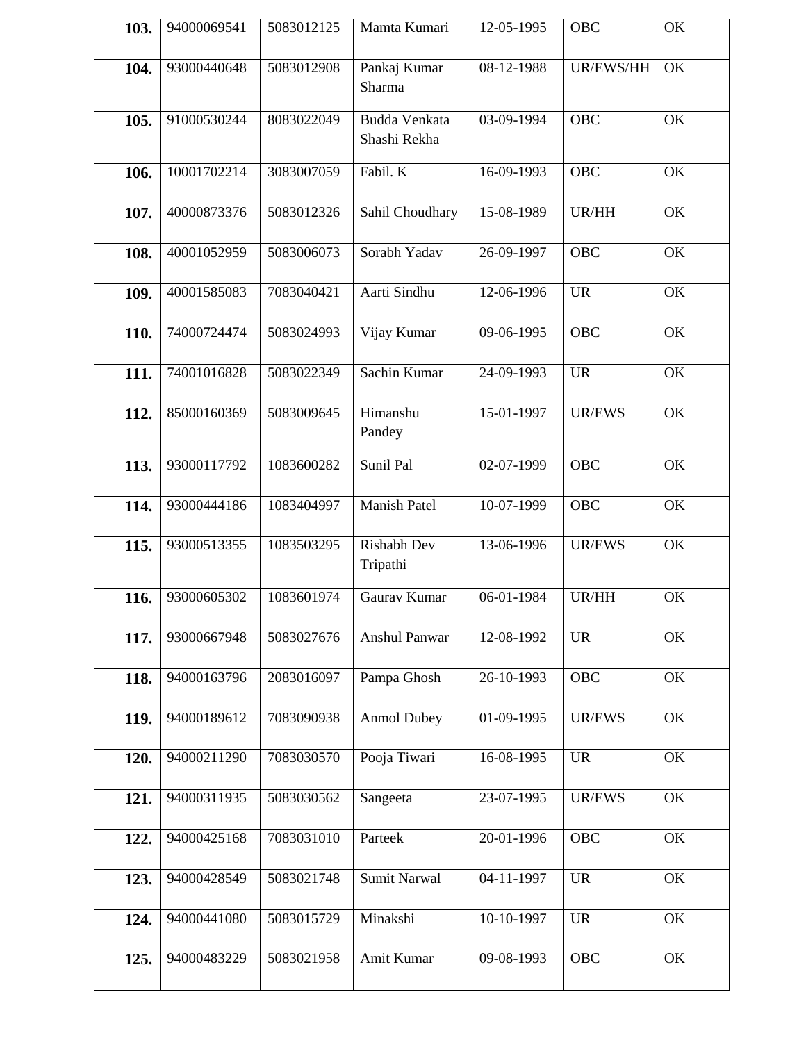| 103. | 94000069541 | 5083012125 | Mamta Kumari                   | 12-05-1995 | OBC            | OK |
|------|-------------|------------|--------------------------------|------------|----------------|----|
| 104. | 93000440648 | 5083012908 | Pankaj Kumar<br>Sharma         | 08-12-1988 | UR/EWS/HH      | OK |
| 105. | 91000530244 | 8083022049 | Budda Venkata<br>Shashi Rekha  | 03-09-1994 | <b>OBC</b>     | OK |
| 106. | 10001702214 | 3083007059 | Fabil. K                       | 16-09-1993 | OBC            | OK |
| 107. | 40000873376 | 5083012326 | Sahil Choudhary                | 15-08-1989 | UR/HH          | OK |
| 108. | 40001052959 | 5083006073 | Sorabh Yadav                   | 26-09-1997 | <b>OBC</b>     | OK |
| 109. | 40001585083 | 7083040421 | Aarti Sindhu                   | 12-06-1996 | <b>UR</b>      | OK |
| 110. | 74000724474 | 5083024993 | Vijay Kumar                    | 09-06-1995 | OBC            | OK |
| 111. | 74001016828 | 5083022349 | Sachin Kumar                   | 24-09-1993 | <b>UR</b>      | OK |
| 112. | 85000160369 | 5083009645 | Himanshu<br>Pandey             | 15-01-1997 | <b>UR/EWS</b>  | OK |
| 113. | 93000117792 | 1083600282 | Sunil Pal                      | 02-07-1999 | <b>OBC</b>     | OK |
| 114. | 93000444186 | 1083404997 | <b>Manish Patel</b>            | 10-07-1999 | <b>OBC</b>     | OK |
| 115. | 93000513355 | 1083503295 | <b>Rishabh Dev</b><br>Tripathi | 13-06-1996 | <b>UR/EWS</b>  | OK |
| 116. | 93000605302 | 1083601974 | Gaurav Kumar                   | 06-01-1984 | UR/HH          | OK |
| 117. | 93000667948 | 5083027676 | Anshul Panwar                  | 12-08-1992 | <b>UR</b>      | OK |
| 118. | 94000163796 | 2083016097 | Pampa Ghosh                    | 26-10-1993 | <b>OBC</b>     | OK |
| 119. | 94000189612 | 7083090938 | <b>Anmol Dubey</b>             | 01-09-1995 | <b>UR/EWS</b>  | OK |
| 120. | 94000211290 | 7083030570 | Pooja Tiwari                   | 16-08-1995 | <b>UR</b>      | OK |
| 121. | 94000311935 | 5083030562 | Sangeeta                       | 23-07-1995 | UR/EWS         | OK |
| 122. | 94000425168 | 7083031010 | Parteek                        | 20-01-1996 | <b>OBC</b>     | OK |
| 123. | 94000428549 | 5083021748 | <b>Sumit Narwal</b>            | 04-11-1997 | U <sub>R</sub> | OK |
| 124. | 94000441080 | 5083015729 | Minakshi                       | 10-10-1997 | <b>UR</b>      | OK |
| 125. | 94000483229 | 5083021958 | Amit Kumar                     | 09-08-1993 | <b>OBC</b>     | OK |